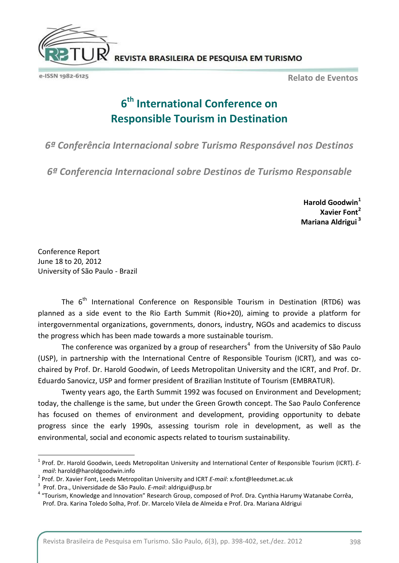

e-ISSN 1982-6125

**Relato de Eventos**

## **6 th International Conference on Responsible Tourism in Destination**

*6ª Conferência Internacional sobre Turismo Responsável nos Destinos*

*6ª Conferencia Internacional sobre Destinos de Turismo Responsable*

**Harold Goodwin<sup>1</sup> Xavier Font<sup>2</sup> Mariana Aldrigui <sup>3</sup>**

Conference Report June 18 to 20, 2012 University of São Paulo - Brazil

1

The  $6<sup>th</sup>$  International Conference on Responsible Tourism in Destination (RTD6) was planned as a side event to the Rio Earth Summit (Rio+20), aiming to provide a platform for intergovernmental organizations, governments, donors, industry, NGOs and academics to discuss the progress which has been made towards a more sustainable tourism.

The conference was organized by a group of researchers<sup>4</sup> from the University of São Paulo (USP), in partnership with the International Centre of Responsible Tourism (ICRT), and was cochaired by Prof. Dr. Harold Goodwin, of Leeds Metropolitan University and the ICRT, and Prof. Dr. Eduardo Sanovicz, USP and former president of Brazilian Institute of Tourism (EMBRATUR).

Twenty years ago, the Earth Summit 1992 was focused on Environment and Development; today, the challenge is the same, but under the Green Growth concept. The Sao Paulo Conference has focused on themes of environment and development, providing opportunity to debate progress since the early 1990s, assessing tourism role in development, as well as the environmental, social and economic aspects related to tourism sustainability.

<sup>1</sup> Prof. Dr. Harold Goodwin, Leeds Metropolitan University and International Center of Responsible Tourism (ICRT). *Email*: harold@haroldgoodwin.info

<sup>2</sup> Prof. Dr. Xavier Font, Leeds Metropolitan University and ICRT *E-mail*: x.font@leedsmet.ac.uk

<sup>3</sup> Prof. Dra., Universidade de São Paulo. *E-mail*: aldrigui@usp.br

<sup>&</sup>lt;sup>4</sup> "Tourism, Knowledge and Innovation" Research Group, composed of Prof. Dra. Cynthia Harumy Watanabe Corrêa, Prof. Dra. Karina Toledo Solha, Prof. Dr. Marcelo Vilela de Almeida e Prof. Dra. Mariana Aldrigui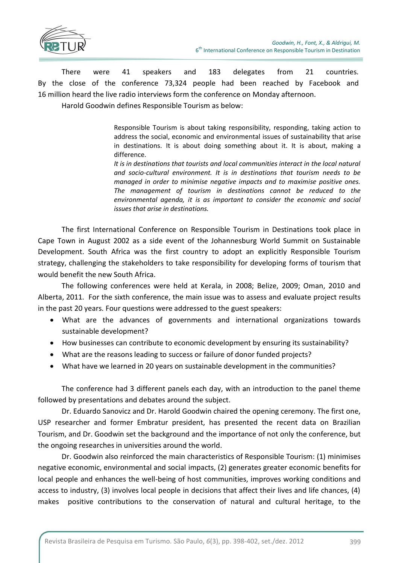

There were 41 speakers and 183 delegates from 21 countries. By the close of the conference 73,324 people had been reached by Facebook and 16 million heard the live radio interviews form the conference on Monday afternoon.

Harold Goodwin defines Responsible Tourism as below:

Responsible Tourism is about taking responsibility, responding, taking action to address the social, economic and environmental issues of sustainability that arise in destinations. It is about doing something about it. It is about, making a difference.

*It is in destinations that tourists and local communities interact in the local natural and socio-cultural environment. It is in destinations that tourism needs to be managed in order to minimise negative impacts and to maximise positive ones. The management of tourism in destinations cannot be reduced to the environmental agenda, it is as important to consider the economic and social issues that arise in destinations.*

The first International Conference on Responsible Tourism in Destinations took place in Cape Town in August 2002 as a side event of the Johannesburg World Summit on Sustainable Development. South Africa was the first country to adopt an explicitly Responsible Tourism strategy, challenging the stakeholders to take responsibility for developing forms of tourism that would benefit the new South Africa.

The following conferences were held at Kerala, in 2008; Belize, 2009; Oman, 2010 and Alberta, 2011. For the sixth conference, the main issue was to assess and evaluate project results in the past 20 years. Four questions were addressed to the guest speakers:

- What are the advances of governments and international organizations towards sustainable development?
- How businesses can contribute to economic development by ensuring its sustainability?
- What are the reasons leading to success or failure of donor funded projects?
- What have we learned in 20 years on sustainable development in the communities?

The conference had 3 different panels each day, with an introduction to the panel theme followed by presentations and debates around the subject.

Dr. Eduardo Sanovicz and Dr. Harold Goodwin chaired the opening ceremony. The first one, USP researcher and former Embratur president, has presented the recent data on Brazilian Tourism, and Dr. Goodwin set the background and the importance of not only the conference, but the ongoing researches in universities around the world.

Dr. Goodwin also reinforced the main characteristics of Responsible Tourism: (1) minimises negative economic, environmental and social impacts, (2) generates greater economic benefits for local people and enhances the well-being of host communities, improves working conditions and access to industry, (3) involves local people in decisions that affect their lives and life chances, (4) makes positive contributions to the conservation of natural and cultural heritage, to the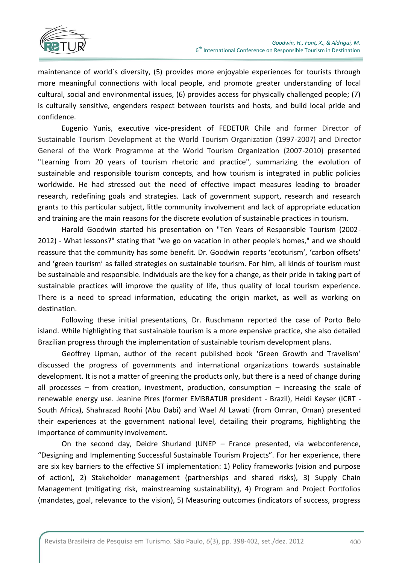

maintenance of world´s diversity, (5) provides more enjoyable experiences for tourists through more meaningful connections with local people, and promote greater understanding of local cultural, social and environmental issues, (6) provides access for physically challenged people; (7) is culturally sensitive, engenders respect between tourists and hosts, and build local pride and confidence.

Eugenio Yunis, executive vice-president of FEDETUR Chile and former Director of Sustainable Tourism Development at the World Tourism Organization (1997-2007) and Director General of the Work Programme at the World Tourism Organization (2007-2010) presented "Learning from 20 years of tourism rhetoric and practice", summarizing the evolution of sustainable and responsible tourism concepts, and how tourism is integrated in public policies worldwide. He had stressed out the need of effective impact measures leading to broader research, redefining goals and strategies. Lack of government support, research and research grants to this particular subject, little community involvement and lack of appropriate education and training are the main reasons for the discrete evolution of sustainable practices in tourism.

Harold Goodwin started his presentation on "Ten Years of Responsible Tourism (2002- 2012) - What lessons?" stating that "we go on vacation in other people's homes," and we should reassure that the community has some benefit. Dr. Goodwin reports 'ecoturism', 'carbon offsets' and 'green tourism' as failed strategies on sustainable tourism. For him, all kinds of tourism must be sustainable and responsible. Individuals are the key for a change, as their pride in taking part of sustainable practices will improve the quality of life, thus quality of local tourism experience. There is a need to spread information, educating the origin market, as well as working on destination.

Following these initial presentations, Dr. Ruschmann reported the case of Porto Belo island. While highlighting that sustainable tourism is a more expensive practice, she also detailed Brazilian progress through the implementation of sustainable tourism development plans.

Geoffrey Lipman, author of the recent published book 'Green Growth and Travelism' discussed the progress of governments and international organizations towards sustainable development. It is not a matter of greening the products only, but there is a need of change during all processes – from creation, investment, production, consumption – increasing the scale of renewable energy use. Jeanine Pires (former EMBRATUR president - Brazil), Heidi Keyser (ICRT - South Africa), Shahrazad Roohi (Abu Dabi) and Wael Al Lawati (from Omran, Oman) presented their experiences at the government national level, detailing their programs, highlighting the importance of community involvement.

On the second day, Deidre Shurland (UNEP – France presented, via webconference, "Designing and Implementing Successful Sustainable Tourism Projects". For her experience, there are six key barriers to the effective ST implementation: 1) Policy frameworks (vision and purpose of action), 2) Stakeholder management (partnerships and shared risks), 3) Supply Chain Management (mitigating risk, mainstreaming sustainability), 4) Program and Project Portfolios (mandates, goal, relevance to the vision), 5) Measuring outcomes (indicators of success, progress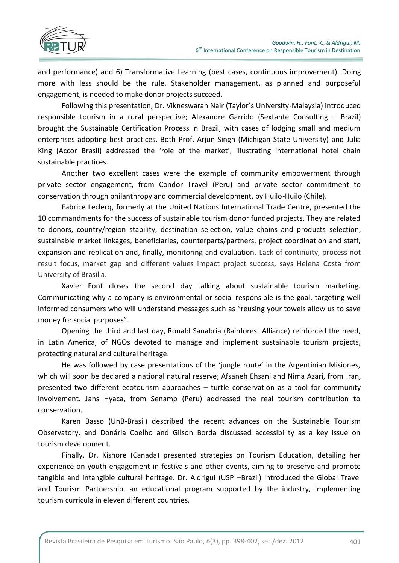

and performance) and 6) Transformative Learning (best cases, continuous improvement). Doing more with less should be the rule. Stakeholder management, as planned and purposeful engagement, is needed to make donor projects succeed.

Following this presentation, Dr. Vikneswaran Nair (Taylor´s University-Malaysia) introduced responsible tourism in a rural perspective; Alexandre Garrido (Sextante Consulting – Brazil) brought the Sustainable Certification Process in Brazil, with cases of lodging small and medium enterprises adopting best practices. Both Prof. Arjun Singh (Michigan State University) and Julia King (Accor Brasil) addressed the 'role of the market', illustrating international hotel chain sustainable practices.

Another two excellent cases were the example of community empowerment through private sector engagement, from Condor Travel (Peru) and private sector commitment to conservation through philanthropy and commercial development, by Huilo-Huilo (Chile).

Fabrice Leclerq, formerly at the United Nations International Trade Centre, presented the 10 commandments for the success of sustainable tourism donor funded projects. They are related to donors, country/region stability, destination selection, value chains and products selection, sustainable market linkages, beneficiaries, counterparts/partners, project coordination and staff, expansion and replication and, finally, monitoring and evaluation. Lack of continuity, process not result focus, market gap and different values impact project success, says Helena Costa from University of Brasilia.

Xavier Font closes the second day talking about sustainable tourism marketing. Communicating why a company is environmental or social responsible is the goal, targeting well informed consumers who will understand messages such as "reusing your towels allow us to save money for social purposes".

Opening the third and last day, Ronald Sanabria (Rainforest Alliance) reinforced the need, in Latin America, of NGOs devoted to manage and implement sustainable tourism projects, protecting natural and cultural heritage.

He was followed by case presentations of the 'jungle route' in the Argentinian Misiones, which will soon be declared a national natural reserve; Afsaneh Ehsani and Nima Azari, from Iran, presented two different ecotourism approaches – turtle conservation as a tool for community involvement. Jans Hyaca, from Senamp (Peru) addressed the real tourism contribution to conservation.

Karen Basso (UnB-Brasil) described the recent advances on the Sustainable Tourism Observatory, and Donária Coelho and Gilson Borda discussed accessibility as a key issue on tourism development.

Finally, Dr. Kishore (Canada) presented strategies on Tourism Education, detailing her experience on youth engagement in festivals and other events, aiming to preserve and promote tangible and intangible cultural heritage. Dr. Aldrigui (USP –Brazil) introduced the Global Travel and Tourism Partnership, an educational program supported by the industry, implementing tourism curricula in eleven different countries.